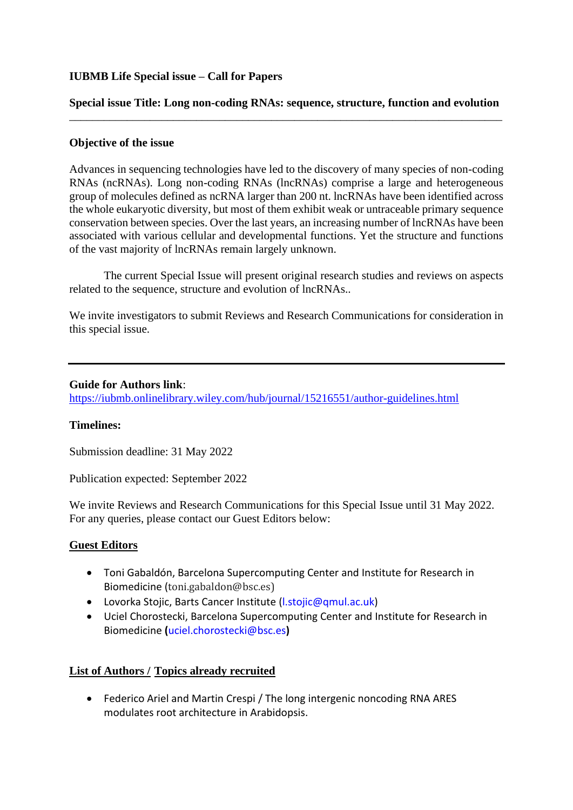### **IUBMB Life Special issue – Call for Papers**

#### **Special issue Title: Long non-coding RNAs: sequence, structure, function and evolution** \_\_\_\_\_\_\_\_\_\_\_\_\_\_\_\_\_\_\_\_\_\_\_\_\_\_\_\_\_\_\_\_\_\_\_\_\_\_\_\_\_\_\_\_\_\_\_\_\_\_\_\_\_\_\_\_\_\_\_\_\_\_\_\_\_\_\_\_\_\_\_\_\_\_\_

### **Objective of the issue**

Advances in sequencing technologies have led to the discovery of many species of non-coding RNAs (ncRNAs). Long non-coding RNAs (lncRNAs) comprise a large and heterogeneous group of molecules defined as ncRNA larger than 200 nt. lncRNAs have been identified across the whole eukaryotic diversity, but most of them exhibit weak or untraceable primary sequence conservation between species. Over the last years, an increasing number of lncRNAs have been associated with various cellular and developmental functions. Yet the structure and functions of the vast majority of lncRNAs remain largely unknown.

The current Special Issue will present original research studies and reviews on aspects related to the sequence, structure and evolution of lncRNAs..

We invite investigators to submit Reviews and Research Communications for consideration in this special issue.

#### **Guide for Authors link**:

<https://iubmb.onlinelibrary.wiley.com/hub/journal/15216551/author-guidelines.html>

#### **Timelines:**

Submission deadline: 31 May 2022

Publication expected: September 2022

We invite Reviews and Research Communications for this Special Issue until 31 May 2022. For any queries, please contact our Guest Editors below:

# **Guest Editors**

- Toni Gabaldón, Barcelona Supercomputing Center and Institute for Research in Biomedicine ([toni.gabaldon@bsc.es\)](mailto:toni.gabaldon@bsc.es)
- Lovorka Stojic, Barts Cancer Institute (I.stojic@qmul.ac.uk)
- Uciel Chorostecki, Barcelona Supercomputing Center and Institute for Research in Biomedicine **(**[uciel.chorostecki@bsc.es](mailto:uciel.chorostecki@bsc.es)**)**

# **List of Authors / Topics already recruited**

• Federico Ariel and Martin Crespi / The long intergenic noncoding RNA ARES modulates root architecture in Arabidopsis.